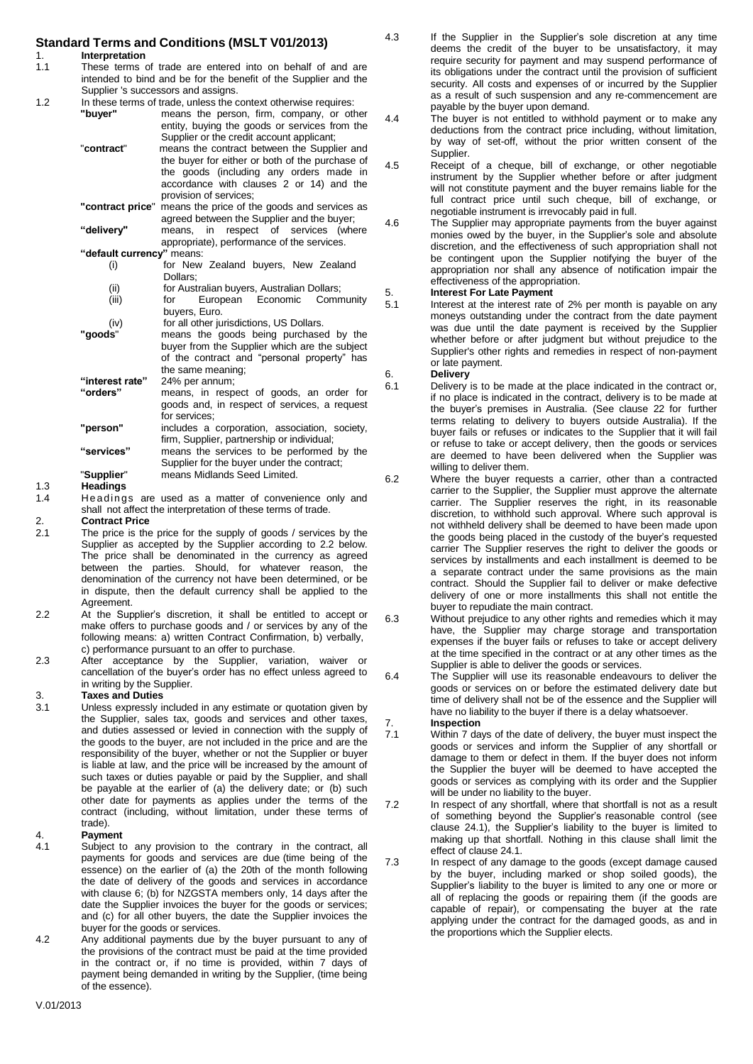# **Standard Terms and Conditions (MSLT V01/2013)**

1. **Interpretation**<br>1.1 These terms of

- These terms of trade are entered into on behalf of and are intended to bind and be for the benefit of the Supplier and the Supplier 's successors and assigns.
- 1.2 In these terms of trade, unless the context otherwise requires:<br>"**buyer"** means the person, firm, company, or otherwise
	- means the person, firm, company, or other entity, buying the goods or services from the Supplier or the credit account applicant; "**contract**" means the contract between the Supplier and
		- the buyer for either or both of the purchase of the goods (including any orders made in accordance with clauses 2 or 14) and the provision of services;
		- **"contract price**" means the price of the goods and services as agreed between the Supplier and the buyer; **"delivery"** means, in respect of services (where
		- appropriate), performance of the services. **"default currency"** means:
			- (i) for New Zealand buyers, New Zealand Dollars;
			- (ii) for Australian buyers, Australian Dollars;
			- (iii) for European Economic Community buyers, Euro.
		- (iv) for all other jurisdictions, US Dollars.<br>"**goods**" means the goods being purchase means the goods being purchased by the buyer from the Supplier which are the subject of the contract and "personal property" has the same meaning;
		- **"interest rate"** 24% per annum; **"orders"** means, in respect of goods, an order for goods and, in respect of services, a request for services; **"person"** includes a corporation, association, society, firm, Supplier, partnership or individual;
		- **"services"** means the services to be performed by the Supplier for the buyer under the contract; "**Supplier**" means Midlands Seed Limited.

## 1.3 **Headings**

- 1.4 Headings are used as a matter of convenience only and shall not affect the interpretation of these terms of trade.
- 
- 2. **Contract Price** The price is the price for the supply of goods / services by the Supplier as accepted by the Supplier according to 2.2 below. The price shall be denominated in the currency as agreed between the parties. Should, for whatever reason, the denomination of the currency not have been determined, or be in dispute, then the default currency shall be applied to the Agreement.
- 2.2 At the Supplier's discretion, it shall be entitled to accept or make offers to purchase goods and / or services by any of the following means: a) written Contract Confirmation, b) verbally, c) performance pursuant to an offer to purchase.
- 2.3 After acceptance by the Supplier, variation, waiver or cancellation of the buyer's order has no effect unless agreed to in writing by the Supplier.

# 3. **Taxes and Duties**

3.1 Unless expressly included in any estimate or quotation given by the Supplier, sales tax, goods and services and other taxes, and duties assessed or levied in connection with the supply of the goods to the buyer, are not included in the price and are the responsibility of the buyer, whether or not the Supplier or buyer is liable at law, and the price will be increased by the amount of such taxes or duties payable or paid by the Supplier, and shall be payable at the earlier of (a) the delivery date; or (b) such other date for payments as applies under the terms of the contract (including, without limitation, under these terms of trade).

- 4. **Payment** Subject to any provision to the contrary in the contract, all payments for goods and services are due (time being of the essence) on the earlier of (a) the 20th of the month following the date of delivery of the goods and services in accordance with clause 6; (b) for NZGSTA members only, 14 days after the date the Supplier invoices the buyer for the goods or services; and (c) for all other buyers, the date the Supplier invoices the buyer for the goods or services.
- 4.2 Any additional payments due by the buyer pursuant to any of the provisions of the contract must be paid at the time provided in the contract or, if no time is provided, within 7 days of payment being demanded in writing by the Supplier, (time being of the essence).
- 4.3 If the Supplier in the Supplier's sole discretion at any time deems the credit of the buyer to be unsatisfactory, it may require security for payment and may suspend performance of its obligations under the contract until the provision of sufficient security. All costs and expenses of or incurred by the Supplier as a result of such suspension and any re-commencement are payable by the buyer upon demand.
- 4.4 The buyer is not entitled to withhold payment or to make any deductions from the contract price including, without limitation, by way of set-off, without the prior written consent of the **Supplier**
- 4.5 Receipt of a cheque, bill of exchange, or other negotiable instrument by the Supplier whether before or after judgment will not constitute payment and the buyer remains liable for the full contract price until such cheque, bill of exchange, or negotiable instrument is irrevocably paid in full.
- 4.6 The Supplier may appropriate payments from the buyer against monies owed by the buyer, in the Supplier's sole and absolute discretion, and the effectiveness of such appropriation shall not be contingent upon the Supplier notifying the buyer of the appropriation nor shall any absence of notification impair the effectiveness of the appropriation.

## 5. **Interest For Late Payment**

5.1 Interest at the interest rate of 2% per month is payable on any moneys outstanding under the contract from the date payment was due until the date payment is received by the Supplier whether before or after judgment but without prejudice to the Supplier's other rights and remedies in respect of non-payment or late payment.

# 6. **Delivery**

- 6.1 Delivery is to be made at the place indicated in the contract or, if no place is indicated in the contract, delivery is to be made at the buyer's premises in Australia. (See clause 22 for further terms relating to delivery to buyers outside Australia). If the buyer fails or refuses or indicates to the Supplier that it will fail or refuse to take or accept delivery, then the goods or services are deemed to have been delivered when the Supplier was willing to deliver them.
- 6.2 Where the buyer requests a carrier, other than a contracted carrier to the Supplier, the Supplier must approve the alternate carrier. The Supplier reserves the right, in its reasonable discretion, to withhold such approval. Where such approval is not withheld delivery shall be deemed to have been made upon the goods being placed in the custody of the buyer's requested carrier The Supplier reserves the right to deliver the goods or services by installments and each installment is deemed to be a separate contract under the same provisions as the main contract. Should the Supplier fail to deliver or make defective delivery of one or more installments this shall not entitle the buyer to repudiate the main contract.
- 6.3 Without prejudice to any other rights and remedies which it may have, the Supplier may charge storage and transportation expenses if the buyer fails or refuses to take or accept delivery at the time specified in the contract or at any other times as the Supplier is able to deliver the goods or services.
- 6.4 The Supplier will use its reasonable endeavours to deliver the goods or services on or before the estimated delivery date but time of delivery shall not be of the essence and the Supplier will have no liability to the buyer if there is a delay whatsoever.

# 7. **Inspection**

- Within 7 days of the date of delivery, the buyer must inspect the goods or services and inform the Supplier of any shortfall or damage to them or defect in them. If the buyer does not inform the Supplier the buyer will be deemed to have accepted the goods or services as complying with its order and the Supplier will be under no liability to the buyer.
- 7.2 In respect of any shortfall, where that shortfall is not as a result of something beyond the Supplier's reasonable control (see clause 24.1), the Supplier's liability to the buyer is limited to making up that shortfall. Nothing in this clause shall limit the effect of clause 24.1.
- 7.3 In respect of any damage to the goods (except damage caused by the buyer, including marked or shop soiled goods), the Supplier's liability to the buyer is limited to any one or more or all of replacing the goods or repairing them (if the goods are capable of repair), or compensating the buyer at the rate applying under the contract for the damaged goods, as and in the proportions which the Supplier elects.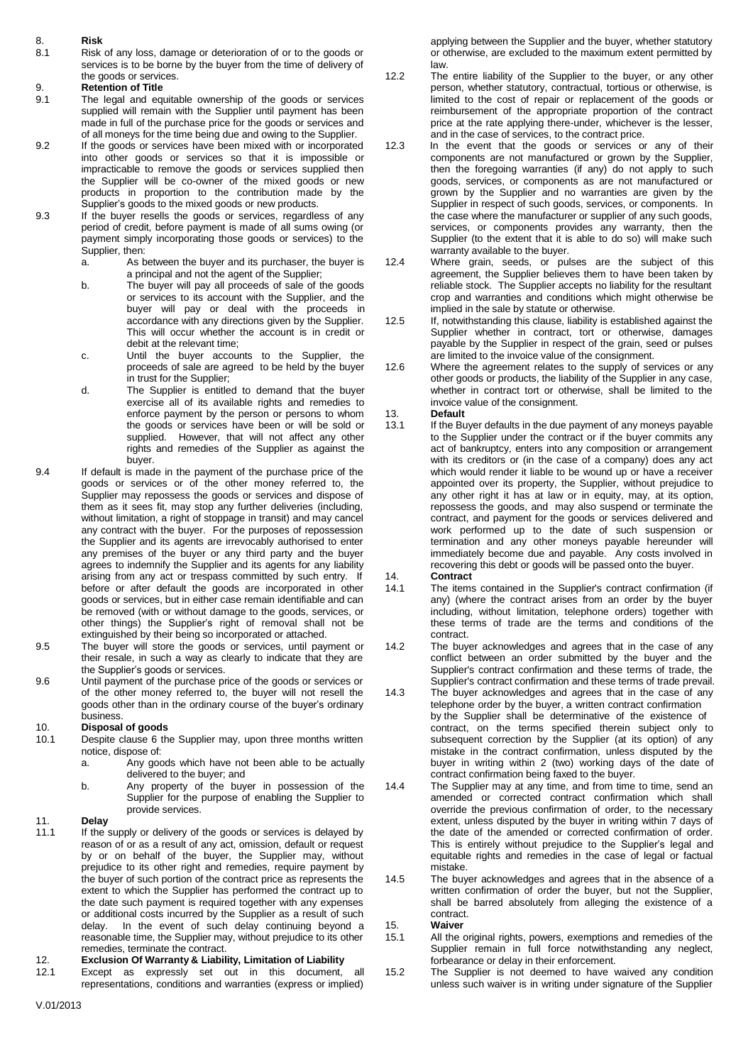8.1 Risk of any loss, damage or deterioration of or to the goods or or otherwise, are excluded to the maximum extent permitted by services is to be borne by the buver from the time of delivery of law. services is to be borne by the buyer from the time of delivery of<br>the goods or services. 12.2

- The legal and equitable ownership of the goods or services supplied will remain with the Supplier until payment has been
- into other goods or services so that it is impossible or the Supplier will be co-owner of the mixed goods or new products in proportion to the contribution made by the
- 9.3 If the buyer resells the goods or services, regardless of any period of credit, before payment is made of all sums owing (or payment simply incorporating those goods or services) to the
	- Supplier, then:<br>
	a. As between the buyer and its purchaser, the buyer is  $\frac{12.4}{2.4}$  Where grain, seeds, or pul
	- buyer will pay or deal with the proceeds in implied in the sale by statute or otherwise.<br>Supercordance with any directions given by the Supplier. 12.5 If notwithstanding this clause liability is established against the accordance with any directions given by the Supplier.
	- c. Until the buyer accounts to the Supplier, the
	- exercise all of its available rights and remedies to invoice value of the consignment.<br>
	enforce payment by the person or persons to whom 13. **Default** enforce payment by the person or persons to whom 13.<br>the goods or services have been or will be sold or 13.1
- 9.4 If default is made in the payment of the purchase price of the goods or services or of the other money referred to, the them as it sees fit, may stop any further deliveries (including, without limitation, a right of stoppage in transit) and may cancel agrees to indemnify the Supplier and its agents for any liability arising from any act or trespass committed by such entry. If 14. **Contract**<br>before or after default the goods are incorporated in other 14.1 The items contained in the Supplier's contract confirmation (if before or after default the goods are incorporated in other other things) the Supplier's right of removal shall not be these terms of the terms of the terms of the terms of the terms of the terms are the terms and contract. extinguished by their being so incorporated or attached.
- 9.5 The buyer will store the goods or services, until payment or 14.2 The buyer acknowledges and agrees that in the case of any
- 9.6 Until payment of the purchase price of the goods or services or of the other money referred to, the buyer will not resell the 14.3

- 10.1 Despite clause 6 the Supplier may, upon three months written subsequent correction by the Supplier (at its option) of any<br>notice, dispose of: notice of any notice of the Contract confirmation, unless disputed by the
	- delivered to the buyer; and elivered to the buyer.<br>
	Any property of the buyer in possession of the 14.4 The Supplier may at any time, and from time
	-

If the supply or delivery of the goods or services is delayed by prejudice to its other right and remedies, require payment by mistake.<br>
the buyer of such portion of the contract price as represents the 14.5 The buyer acknowledges and agrees that in the absence of a the buyer of such portion of the contract price as represents the or additional costs incurred by the Supplier as a result of such contract.<br>
delay. In the event of such delay continuing beyond a 15. Waiver delay. In the event of such delay continuing beyond a 15. **Waiver** reasonable time, the Supplier may, without prejudice to its other 15.1

# 12. **Exclusion Of Warranty & Liability, Limitation of Liability** forbearance or delay in their enforcement.

Except as expressly set out in this document, all

8. **Risk Risk Risk Risk applying between the Supplier and the buyer, whether statutory <b>Risk applying between** the Supplier and the buyer, whether statutory

- the goods or services. 12.2 The entire liability of the Supplier to the buyer, or any other 9. **Retention of Title Retention of Title** person, whether statutory, contractual, tortious or otherwise, is<br>9.1 The legal and equitable ownership of the goods or services **business** limited to the cost of repair or repl reimbursement of the appropriate proportion of the contract made in full of the purchase price for the goods or services and price at the rate applying there-under, whichever is the lesser, of all moneys for the time being due and owing to the Supplier. and in the case of services, of all moneys for the time being due and owing to the Supplier.<br>
If the goods or services have been mixed with or incorporated 12.3 In the event that the goods or services or any of their
- 9.2 If the goods or services have been mixed with or incorporated 12.3 In the event that the goods or services or any of their<br>into other goods or services so that it is impossible or components are not manufactured or gro impracticable to remove the goods or services supplied then then the foregoing warranties (if any) do not apply to such the Supplier will be co-owner of the mixed goods or new qoods, services, or components as are not manu grown by the Supplier and no warranties are given by the Supplier's goods to the mixed goods or new products.<br>
If the buyer resells the goods or services, regardless of any the case where the manufacturer or supplier of any such goods, services, or components provides any warranty, then the Supplier (to the extent that it is able to do so) will make such
	- As between the buyer and its purchaser, the buyer is 12.4 Where grain, seeds, or pulses are the subject of this a principal and not the agent of the Supplier:<br>a principal and not the agent of the Supplier:<br>by agreement, th agreement, the Supplier believes them to have been taken by b. The buyer will pay all proceeds of sale of the goods reliable stock. The Supplier accepts no liability for the resultant or services to its account with the Supplier, and the crop and warranties and conditions which mig crop and warranties and conditions which might otherwise be implied in the sale by statute or otherwise.
		- This will occur whether the account is in credit or Supplier whether in contract, tort or otherwise, damages debit at the relevant time;<br>
		payable by the Supplier in respect of the grain, seed or pulses payable by the Supplier in respect of the grain, seed or pulses are limited to the invoice value of the consignment.
	- proceeds of sale are agreed to be held by the buyer 12.6 Where the agreement relates to the supply of services or any in trust for the Supplier;<br>in trust for the Supplier; hany case, in trust for the Supplier;<br>
	The Supplier is entitled to demand that the buyer<br>
	The Supplier is entitled to demand that the buyer<br>
	Whether in contract tort or otherwise, shall be limited to the d. The Supplier is entitled to demand that the buyer whether in contract tort or otherwise, shall be limited to the
		-
	- the goods or services have been or will be sold or 13.1 If the Buyer defaults in the due payment of any moneys payable<br>supplied. However, that will not affect any other to the Supplier under the contract or if the buyer co to the Supplier under the contract or if the buyer commits any rights and remedies of the Supplier as against the act of bankruptcy, enters into any composition or arrangement buyer.<br>
	is made in the payment of the purchase price of the same which would render it liable to be wound up or have a receiver appointed over its property, the Supplier, without prejudice to Supplier may repossess the goods or services and dispose of any other right it has at law or in equity, may, at its option, them as it sees fit, may stop any further deliveries (including, repossess the goods, and may also contract, and payment for the goods or services delivered and any contract with the buyer. For the purposes of repossession work performed up to the date of such suspension or the Supplier and its agents are irrevocably authorised to enter termination and any other moneys payable her the Supplier and its agents are irrevocably authorised to enter termination and any other moneys payable hereunder will<br>any premises of the buyer or any third party and the buyer immediately become due and payable. Any cos any premises of the buyer or any third party and the buyer immediately become due and payable. Any costs involved agrees to indemnify the Supplier and its agents for any liability recovering this debt or goods will be pass

- goods or services, but in either case remain identifiable and can any) (where the contract arises from an order by the buyer be removed (with or without damage to the goods, services, or including, without limitation, telephone orders) together with other things) the Supplier's right of removal shall not be these terms of trade are the terms and
- their resale, in such a way as clearly to indicate that they are conflict between an order submitted by the buyer and the<br>Supplier's contract confirmation and these terms of trade, the Supplier's contract confirmation and these terms of trade, the Supplier's contract confirmation and these terms of trade prevail.
- of the other money referred to, the buyer will not resell the 14.3 The buyer acknowledges and agrees that in the case of any goods other than in the ordinary course of the buyer's ordinary telephone order by the buyer, a written contract confirmation business.<br> **Disposal of goods Existence of the Supplier shall be determinative of the existence of contract, on the terms specified therein subject only to<br>
<b>Disposal of goods** 10. **Disposal of goods** the contract, on the terms specified therein subject only to spose of:<br>
Any goods which have not been able to be actually example in writing within 2 (two) working days of the date of a. Any goods which have not been able to be actually buyer in writing within 2 (two) working days of the date of contract confirmation being faxed to the buyer.
- b. Any property of the buyer in possession of the 14.4 The Supplier may at any time, and from time to time, send an<br>Supplier for the purpose of enabling the Supplier to amended or corrected contract confirmation which shal amended or corrected contract confirmation which shall provide services. override the previous confirmation of order, to the necessary 11. **Delay Delay Delay Delay extent, unless disputed by the buyer in writing within 7 days of the supply or delivery of the goods or services is delayed by <b>the date of the amended or corrected confirmation of orde** reason of or as a result of any act, omission, default or request This is entirely without prejudice to the Supplier's legal and by or on behalf of the buyer, the Supplier may, without equitable rights and remedies in the case of legal or factual
	- extent to which the Supplier has performed the contract up to written confirmation of order the buyer, but not the Supplier, the date such payment is required together with any expenses shall be barred absolutely from alleging the existence of a
		-
	- reasonable time, the Supplier may, without prejudice to its other 15.1 All the original rights, powers, exemptions and remedies of the remedies, terminate the contract.<br> **Exclusion Of Warranty & Liability, Limitation of Li**
	- representations, conditions and warranties (express or implied) unless such waiver is in writing under signature of the Supplier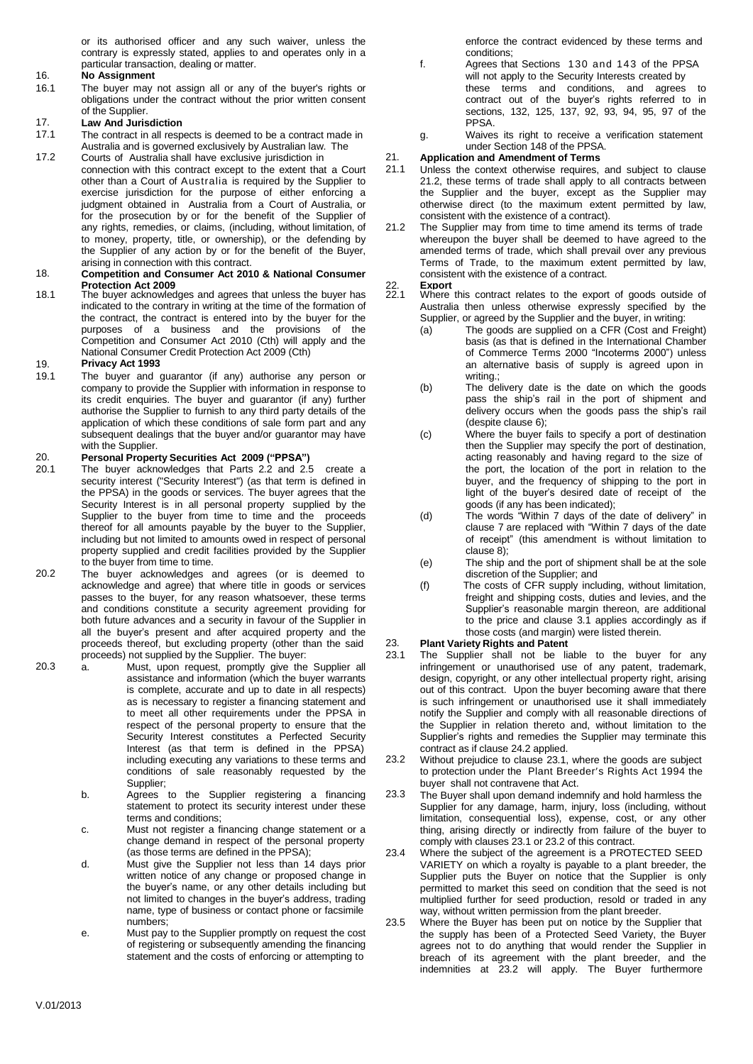or its authorised officer and any such waiver, unless the contrary is expressly stated, applies to and operates only in a particular transaction, dealing or matter.

## 16. **No Assignment**

16.1 The buyer may not assign all or any of the buyer's rights or obligations under the contract without the prior written consent of the Supplier.

## 17. **Law And Jurisdiction**

- 17.1 The contract in all respects is deemed to be a contract made in Australia and is governed exclusively by Australian law. The
- 17.2 Courts of Australia shall have exclusive jurisdiction in connection with this contract except to the extent that a Court other than a Court of Australia is required by the Supplier to exercise jurisdiction for the purpose of either enforcing a judgment obtained in Australia from a Court of Australia, or for the prosecution by or for the benefit of the Supplier of any rights, remedies, or claims, (including, without limitation, of to money, property, title, or ownership), or the defending by the Supplier of any action by or for the benefit of the Buyer, arising in connection with this contract.

## 18. **Competition and Consumer Act 2010 & National Consumer Protection Act 2009**

**Act 2009** 22. **Export** The buyer acknowledges and agrees that unless the buyer has 18.1 indicated to the contrary in writing at the time of the formation of the contract, the contract is entered into by the buyer for the purposes of a business and the provisions of the Competition and Consumer Act 2010 (Cth) will apply and the National Consumer Credit Protection Act 2009 (Cth)

### 19. **Privacy Act 1993**

19.1 The buyer and guarantor (if any) authorise any person or company to provide the Supplier with information in response to its credit enquiries. The buyer and guarantor (if any) further authorise the Supplier to furnish to any third party details of the application of which these conditions of sale form part and any subsequent dealings that the buyer and/or guarantor may have with the Supplier.

## 20. **Personal Property Securities Act 2009 ("PPSA")**

- 20.1 The buyer acknowledges that Parts 2.2 and 2.5 create a security interest ("Security Interest") (as that term is defined in the PPSA) in the goods or services. The buyer agrees that the Security Interest is in all personal property supplied by the Supplier to the buyer from time to time and the proceeds thereof for all amounts payable by the buyer to the Supplier, including but not limited to amounts owed in respect of personal property supplied and credit facilities provided by the Supplier to the buyer from time to time.
- 20.2 The buyer acknowledges and agrees (or is deemed to acknowledge and agree) that where title in goods or services passes to the buyer, for any reason whatsoever, these terms and conditions constitute a security agreement providing for both future advances and a security in favour of the Supplier in all the buyer's present and after acquired property and the proceeds thereof, but excluding property (other than the said 23. proceeds) not supplied by the Supplier. The buyer:
- 20.3 a. Must, upon request, promptly give the Supplier all assistance and information (which the buyer warrants is complete, accurate and up to date in all respects) as is necessary to register a financing statement and to meet all other requirements under the PPSA in respect of the personal property to ensure that the Security Interest constitutes a Perfected Security Interest (as that term is defined in the PPSA) including executing any variations to these terms and conditions of sale reasonably requested by the Supplier;
	- b. Agrees to the Supplier registering a financing statement to protect its security interest under these terms and conditions;
	- c. Must not register a financing change statement or a change demand in respect of the personal property (as those terms are defined in the PPSA);
	- d. Must give the Supplier not less than 14 days prior written notice of any change or proposed change in the buyer's name, or any other details including but not limited to changes in the buyer's address, trading name, type of business or contact phone or facsimile numbers;
	- e. Must pay to the Supplier promptly on request the cost of registering or subsequently amending the financing statement and the costs of enforcing or attempting to

enforce the contract evidenced by these terms and conditions;

- f. Agrees that Sections 130 and 143 of the PPSA will not apply to the Security Interests created by these terms and conditions, and agrees to contract out of the buyer's rights referred to in sections, 132, 125, 137, 92, 93, 94, 95, 97 of the PPSA.
- g. Waives its right to receive a verification statement under Section 148 of the PPSA.

### 21. **Application and Amendment of Terms**

- 21.1 Unless the context otherwise requires, and subject to clause 21.2, these terms of trade shall apply to all contracts between the Supplier and the buyer, except as the Supplier may otherwise direct (to the maximum extent permitted by law, consistent with the existence of a contract).
- 21.2 The Supplier may from time to time amend its terms of trade whereupon the buyer shall be deemed to have agreed to the amended terms of trade, which shall prevail over any previous Terms of Trade, to the maximum extent permitted by law, consistent with the existence of a contract.<br> **Export**

- 22. **Export**<br>22.1 Where this contract relates to the export of goods outside of Australia then unless otherwise expressly specified by the
	- Supplier, or agreed by the Supplier and the buyer, in writing:<br>(a) The goods are supplied on a CFR (Cost and Fre The goods are supplied on a CFR (Cost and Freight) basis (as that is defined in the International Chamber of Commerce Terms 2000 "Incoterms 2000") unless an alternative basis of supply is agreed upon in writing.;
	- (b) The delivery date is the date on which the goods pass the ship's rail in the port of shipment and delivery occurs when the goods pass the ship's rail (despite clause 6);
	- (c) Where the buyer fails to specify a port of destination then the Supplier may specify the port of destination, acting reasonably and having regard to the size of the port, the location of the port in relation to the buyer, and the frequency of shipping to the port in light of the buyer's desired date of receipt of the goods (if any has been indicated);
	- (d) The words "Within 7 days of the date of delivery" in clause 7 are replaced with "Within 7 days of the date of receipt" (this amendment is without limitation to clause 8);
	- (e) The ship and the port of shipment shall be at the sole discretion of the Supplier; and
	- (f) The costs of CFR supply including, without limitation, freight and shipping costs, duties and levies, and the Supplier's reasonable margin thereon, are additional to the price and clause 3.1 applies accordingly as if those costs (and margin) were listed therein.

## **Plant Variety Rights and Patent**

- 23.1 The Supplier shall not be liable to the buyer for any infringement or unauthorised use of any patent, trademark, design, copyright, or any other intellectual property right, arising out of this contract. Upon the buyer becoming aware that there is such infringement or unauthorised use it shall immediately notify the Supplier and comply with all reasonable directions of the Supplier in relation thereto and, without limitation to the Supplier's rights and remedies the Supplier may terminate this contract as if clause 24.2 applied.
- 23.2 Without prejudice to clause 23.1, where the goods are subject to protection under the Plant Breeder's Rights Act 1994 the buyer shall not contravene that Act.
- 23.3 The Buyer shall upon demand indemnify and hold harmless the Supplier for any damage, harm, injury, loss (including, without limitation, consequential loss), expense, cost, or any other thing, arising directly or indirectly from failure of the buyer to comply with clauses 23.1 or 23.2 of this contract.
- 23.4 Where the subject of the agreement is a PROTECTED SEED VARIETY on which a royalty is payable to a plant breeder, the Supplier puts the Buyer on notice that the Supplier is only permitted to market this seed on condition that the seed is not multiplied further for seed production, resold or traded in any way, without written permission from the plant breeder.
- 23.5 Where the Buyer has been put on notice by the Supplier that the supply has been of a Protected Seed Variety, the Buyer agrees not to do anything that would render the Supplier in breach of its agreement with the plant breeder, and the indemnities at 23.2 will apply. The Buyer furthermore